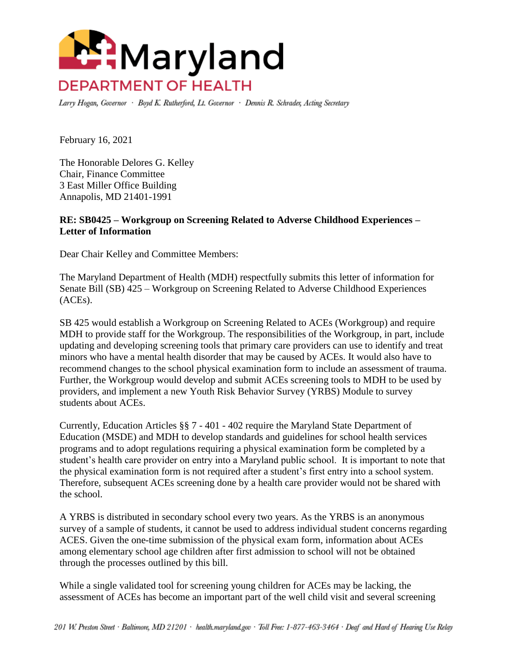

Larry Hogan, Governor · Boyd K. Rutherford, Lt. Governor · Dennis R. Schrader, Acting Secretary

February 16, 2021

The Honorable Delores G. Kelley Chair, Finance Committee 3 East Miller Office Building Annapolis, MD 21401-1991

## **RE: SB0425 – Workgroup on Screening Related to Adverse Childhood Experiences – Letter of Information**

Dear Chair Kelley and Committee Members:

The Maryland Department of Health (MDH) respectfully submits this letter of information for Senate Bill (SB) 425 – Workgroup on Screening Related to Adverse Childhood Experiences (ACEs).

SB 425 would establish a Workgroup on Screening Related to ACEs (Workgroup) and require MDH to provide staff for the Workgroup. The responsibilities of the Workgroup, in part, include updating and developing screening tools that primary care providers can use to identify and treat minors who have a mental health disorder that may be caused by ACEs. It would also have to recommend changes to the school physical examination form to include an assessment of trauma. Further, the Workgroup would develop and submit ACEs screening tools to MDH to be used by providers, and implement a new Youth Risk Behavior Survey (YRBS) Module to survey students about ACEs.

Currently, Education Articles §§ 7 - 401 - 402 require the Maryland State Department of Education (MSDE) and MDH to develop standards and guidelines for school health services programs and to adopt regulations requiring a physical examination form be completed by a student's health care provider on entry into a Maryland public school. It is important to note that the physical examination form is not required after a student's first entry into a school system. Therefore, subsequent ACEs screening done by a health care provider would not be shared with the school.

A YRBS is distributed in secondary school every two years. As the YRBS is an anonymous survey of a sample of students, it cannot be used to address individual student concerns regarding ACES. Given the one-time submission of the physical exam form, information about ACEs among elementary school age children after first admission to school will not be obtained through the processes outlined by this bill.

While a single validated tool for screening young children for ACEs may be lacking, the assessment of ACEs has become an important part of the well child visit and several screening